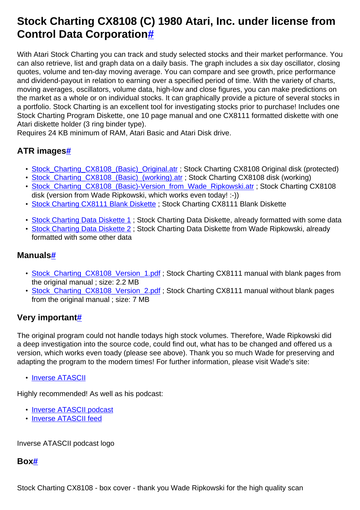# **Stock Charting CX8108 (C) 1980 Atari, Inc. under license from Control Data Corporatio[n#](http://[fd00::119]:8080/wiki/#section-Stock+Charting-StockChartingCX8108C1980AtariInc.UnderLicenseFromControlDataCorporation)**

With Atari Stock Charting you can track and study selected stocks and their market performance. You can also retrieve, list and graph data on a daily basis. The graph includes a six day oscillator, closing quotes, volume and ten-day moving average. You can compare and see growth, price performance and dividend-payout in relation to earning over a specified period of time. With the variety of charts, moving averages, oscillators, volume data, high-low and close figures, you can make predictions on the market as a whole or on individual stocks. It can graphically provide a picture of several stocks in a portfolio. Stock Charting is an excellent tool for investigating stocks prior to purchase! Includes one Stock Charting Program Diskette, one 10 page manual and one CX8111 formatted diskette with one Atari diskette holder (3 ring binder type).

Requires 24 KB minimum of RAM, Atari Basic and Atari Disk drive.

## **ATR image[s#](http://[fd00::119]:8080/wiki/#section-Stock+Charting-ATRImages)**

- Stock Charting CX8108 (Basic) Original.atr ; Stock Charting CX8108 Original disk (protected)
- Stock Charting CX8108 (Basic) (working).atr : Stock Charting CX8108 disk (working)
- [Stock\\_Charting\\_CX8108\\_\(Basic\)-Version\\_from\\_Wade\\_Ripkowski.atr](http://[fd00::119]:8080/wiki//wiki/attach/Stock%20Charting/Stock_Charting_CX8108_%28Basic%29-Version_from_Wade_Ripkowski.atr) ; Stock Charting CX8108 disk (version from Wade Ripkowski, which works even today! :-))
- [Stock Charting CX8111 Blank Diskette](http://[fd00::119]:8080/wiki//wiki/attach/Stock%20Charting/Blank_Diskette.atr) ; Stock Charting CX8111 Blank Diskette
- [Stock Charting Data Diskette 1](http://[fd00::119]:8080/wiki//wiki/attach/Stock%20Charting/Stock_Data_Diskette.atr) ; Stock Charting Data Diskette, already formatted with some data
- [Stock Charting Data Diskette 2](http://[fd00::119]:8080/wiki//wiki/attach/Stock%20Charting/Stock_Charting_Data_Diskette.atr) : Stock Charting Data Diskette from Wade Ripkowski, already formatted with some other data

#### **Manuals[#](http://[fd00::119]:8080/wiki/#section-Stock+Charting-Manuals)**

- [Stock\\_Charting\\_CX8108\\_Version\\_1.pdf](http://[fd00::119]:8080/wiki//wiki/attach/Stock%20Charting/Stock_Charting_CX8108_Version_1.pdf); Stock Charting CX8111 manual with blank pages from the original manual ; size: 2.2 MB
- [Stock\\_Charting\\_CX8108\\_Version\\_2.pdf](http://[fd00::119]:8080/wiki//wiki/attach/Stock%20Charting/Stock_Charting_CX8108_Version_2.pdf) ; Stock Charting CX8111 manual without blank pages from the original manual ; size: 7 MB

### **Very importan[t#](http://[fd00::119]:8080/wiki/#section-Stock+Charting-VeryImportant)**

The original program could not handle todays high stock volumes. Therefore, Wade Ripkowski did a deep investigation into the source code, could find out, what has to be changed and offered us a version, which works even toady (please see above). Thank you so much Wade for preserving and adapting the program to the modern times! For further information, please visit Wade's site:

• [Inverse ATASCII](http://inverseatascii.info/2015/02/10/s1e10-atari-stock-charting/)

Highly recommended! As well as his podcast:

- [Inverse ATASCII podcast](https://itunes.apple.com/de/podcast/inverse-atascii/id919358656?mt=2)
- [Inverse ATASCII feed](http://feeds.feedburner.com/InverseAtascii)

Inverse ATASCII podcast logo

### **Box[#](http://[fd00::119]:8080/wiki/#section-Stock+Charting-Box)**